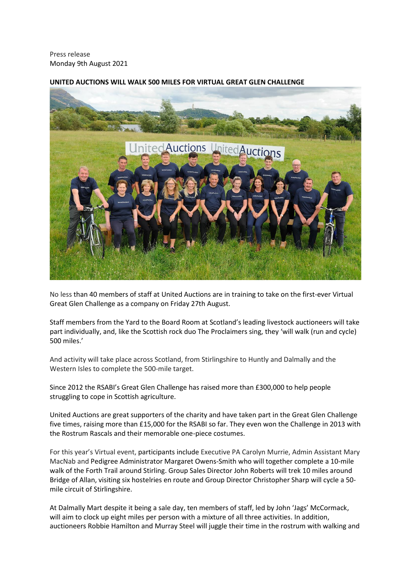Press release Monday 9th August 2021



# **UNITED AUCTIONS WILL WALK 500 MILES FOR VIRTUAL GREAT GLEN CHALLENGE**

No less than 40 members of staff at United Auctions are in training to take on the first-ever Virtual Great Glen Challenge as a company on Friday 27th August.

Staff members from the Yard to the Board Room at Scotland's leading livestock auctioneers will take part individually, and, like the Scottish rock duo The Proclaimers sing, they 'will walk (run and cycle) 500 miles.'

And activity will take place across Scotland, from Stirlingshire to Huntly and Dalmally and the Western Isles to complete the 500-mile target.

Since 2012 the RSABI's Great Glen Challenge has raised more than £300,000 to help people struggling to cope in Scottish agriculture.

United Auctions are great supporters of the charity and have taken part in the Great Glen Challenge five times, raising more than £15,000 for the RSABI so far. They even won the Challenge in 2013 with the Rostrum Rascals and their memorable one-piece costumes.

For this year's Virtual event, participants include Executive PA Carolyn Murrie, Admin Assistant Mary MacNab and Pedigree Administrator Margaret Owens-Smith who will together complete a 10-mile walk of the Forth Trail around Stirling. Group Sales Director John Roberts will trek 10 miles around Bridge of Allan, visiting six hostelries en route and Group Director Christopher Sharp will cycle a 50 mile circuit of Stirlingshire.

At Dalmally Mart despite it being a sale day, ten members of staff, led by John 'Jags' McCormack, will aim to clock up eight miles per person with a mixture of all three activities. In addition, auctioneers Robbie Hamilton and Murray Steel will juggle their time in the rostrum with walking and